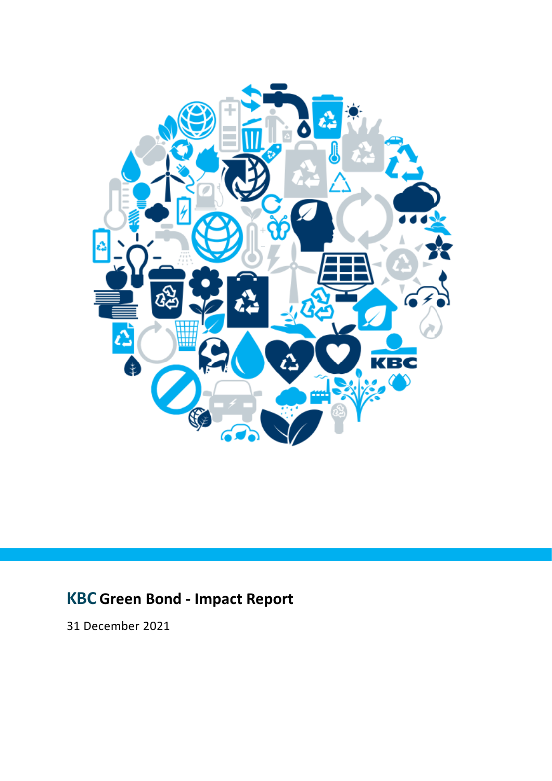

# **KBCGreen Bond - Impact Report**

31 December 2021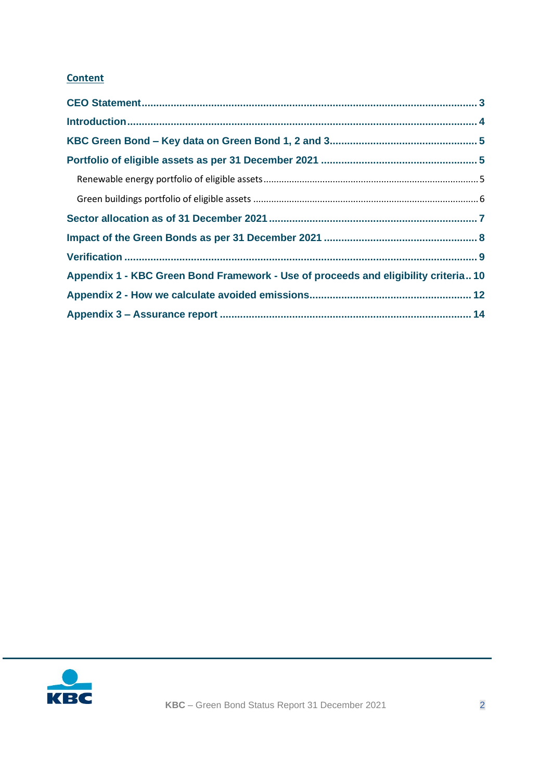# **Content**

| Appendix 1 - KBC Green Bond Framework - Use of proceeds and eligibility criteria 10 |  |
|-------------------------------------------------------------------------------------|--|
|                                                                                     |  |
|                                                                                     |  |

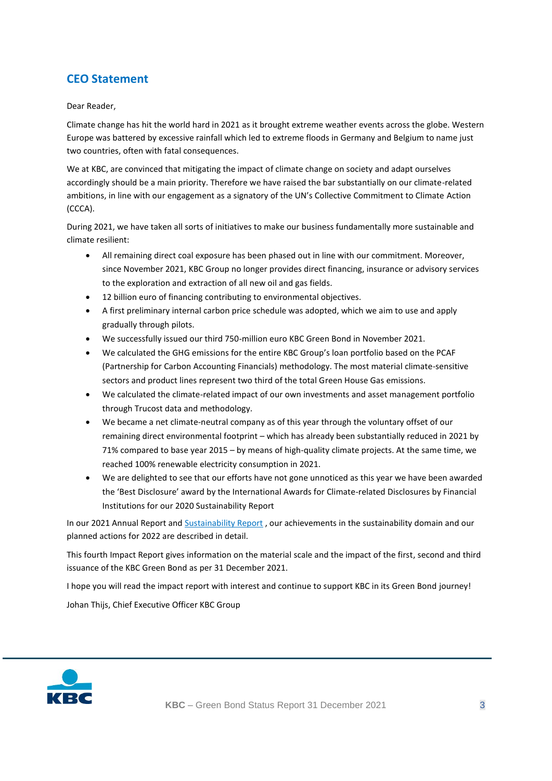# <span id="page-2-0"></span>**CEO Statement**

#### Dear Reader,

Climate change has hit the world hard in 2021 as it brought extreme weather events across the globe. Western Europe was battered by excessive rainfall which led to extreme floods in Germany and Belgium to name just two countries, often with fatal consequences.

We at KBC, are convinced that mitigating the impact of climate change on society and adapt ourselves accordingly should be a main priority. Therefore we have raised the bar substantially on our climate-related ambitions, in line with our engagement as a signatory of the UN's Collective Commitment to Climate Action (CCCA).

During 2021, we have taken all sorts of initiatives to make our business fundamentally more sustainable and climate resilient:

- All remaining direct coal exposure has been phased out in line with our commitment. Moreover, since November 2021, KBC Group no longer provides direct financing, insurance or advisory services to the exploration and extraction of all new oil and gas fields.
- 12 billion euro of financing contributing to environmental objectives.
- A first preliminary internal carbon price schedule was adopted, which we aim to use and apply gradually through pilots.
- We successfully issued our third 750-million euro KBC Green Bond in November 2021.
- We calculated the GHG emissions for the entire KBC Group's loan portfolio based on the PCAF (Partnership for Carbon Accounting Financials) methodology. The most material climate-sensitive sectors and product lines represent two third of the total Green House Gas emissions.
- We calculated the climate-related impact of our own investments and asset management portfolio through Trucost data and methodology.
- We became a net climate-neutral company as of this year through the voluntary offset of our remaining direct environmental footprint – which has already been substantially reduced in 2021 by 71% compared to base year 2015 – by means of high-quality climate projects. At the same time, we reached 100% renewable electricity consumption in 2021.
- We are delighted to see that our efforts have not gone unnoticed as this year we have been awarded the 'Best Disclosure' award by the International Awards for Climate-related Disclosures by Financial Institutions for our 2020 Sustainability Report

In our 2021 Annual Report and [Sustainability Report](https://multimediafiles.kbcgroup.eu/ng/published/kbccom/pdf/kbccom_landing_links/csr-sr-2021.pdf?zone=) , our achievements in the sustainability domain and our planned actions for 2022 are described in detail.

This fourth Impact Report gives information on the material scale and the impact of the first, second and third issuance of the KBC Green Bond as per 31 December 2021.

I hope you will read the impact report with interest and continue to support KBC in its Green Bond journey!

Johan Thijs, Chief Executive Officer KBC Group

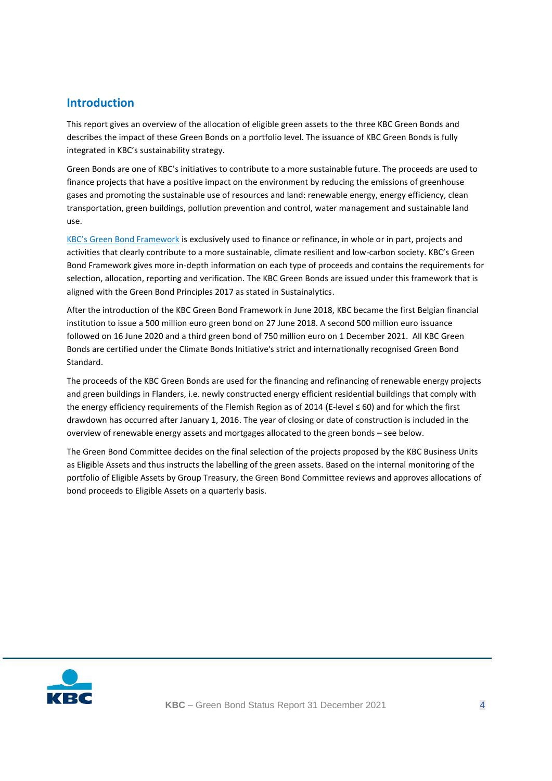### <span id="page-3-0"></span>**Introduction**

This report gives an overview of the allocation of eligible green assets to the three KBC Green Bonds and describes the impact of these Green Bonds on a portfolio level. The issuance of KBC Green Bonds is fully integrated in KBC's sustainability strategy.

Green Bonds are one of KBC's initiatives to contribute to a more sustainable future. The proceeds are used to finance projects that have a positive impact on the environment by reducing the emissions of greenhouse gases and promoting the sustainable use of resources and land: renewable energy, energy efficiency, clean transportation, green buildings, pollution prevention and control, water management and sustainable land use.

[KBC's Green Bond Framework](https://www.kbc.com/content/dam/kbccom/doc/investor-relations/7-Debt-issuance/Green-Bonds/20180605_KBC_GB_Framework.pdf) is exclusively used to finance or refinance, in whole or in part, projects and activities that clearly contribute to a more sustainable, climate resilient and low-carbon society. KBC's Green Bond Framework gives more in-depth information on each type of proceeds and contains the requirements for selection, allocation, reporting and verification. The KBC Green Bonds are issued under this framework that is aligned with the Green Bond Principles 2017 as stated in Sustainalytics.

After the introduction of the KBC Green Bond Framework in June 2018, KBC became the first Belgian financial institution to issue a 500 million euro green bond on 27 June 2018. A second 500 million euro issuance followed on 16 June 2020 and a third green bond of 750 million euro on 1 December 2021. All KBC Green Bonds are certified under the Climate Bonds Initiative's strict and internationally recognised Green Bond Standard.

The proceeds of the KBC Green Bonds are used for the financing and refinancing of renewable energy projects and green buildings in Flanders, i.e. newly constructed energy efficient residential buildings that comply with the energy efficiency requirements of the Flemish Region as of 2014 (E-level ≤ 60) and for which the first drawdown has occurred after January 1, 2016. The year of closing or date of construction is included in the overview of renewable energy assets and mortgages allocated to the green bonds – see below.

The Green Bond Committee decides on the final selection of the projects proposed by the KBC Business Units as Eligible Assets and thus instructs the labelling of the green assets. Based on the internal monitoring of the portfolio of Eligible Assets by Group Treasury, the Green Bond Committee reviews and approves allocations of bond proceeds to Eligible Assets on a quarterly basis.

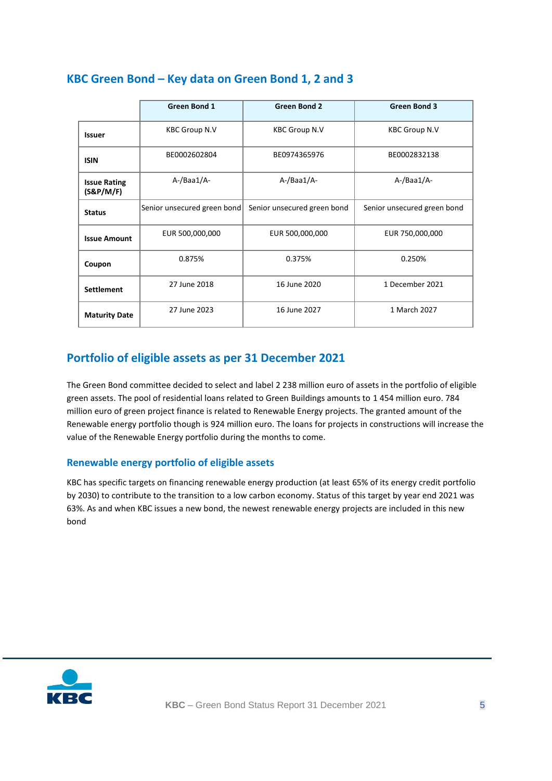|                                  | <b>Green Bond 1</b>         | <b>Green Bond 2</b>         | <b>Green Bond 3</b>         |
|----------------------------------|-----------------------------|-----------------------------|-----------------------------|
| <b>Issuer</b>                    | <b>KBC Group N.V</b>        | <b>KBC Group N.V</b>        | <b>KBC Group N.V</b>        |
| <b>ISIN</b>                      | BE0002602804                | BE0974365976                | BE0002832138                |
| <b>Issue Rating</b><br>(S&P/M/F) | A-/Baa1/A-                  | A-/Baa1/A-                  | A-/Baa1/A-                  |
| <b>Status</b>                    | Senior unsecured green bond | Senior unsecured green bond | Senior unsecured green bond |
| <b>Issue Amount</b>              | EUR 500,000,000             | EUR 500,000,000             | EUR 750,000,000             |
| Coupon                           | 0.875%                      | 0.375%                      | 0.250%                      |
| <b>Settlement</b>                | 27 June 2018                | 16 June 2020                | 1 December 2021             |
| <b>Maturity Date</b>             | 27 June 2023                | 16 June 2027                | 1 March 2027                |

## <span id="page-4-0"></span>**KBC Green Bond – Key data on Green Bond 1, 2 and 3**

# <span id="page-4-1"></span>**Portfolio of eligible assets as per 31 December 2021**

The Green Bond committee decided to select and label 2 238 million euro of assets in the portfolio of eligible green assets. The pool of residential loans related to Green Buildings amounts to 1 454 million euro. 784 million euro of green project finance is related to Renewable Energy projects. The granted amount of the Renewable energy portfolio though is 924 million euro. The loans for projects in constructions will increase the value of the Renewable Energy portfolio during the months to come.

#### <span id="page-4-2"></span>**Renewable energy portfolio of eligible assets**

KBC has specific targets on financing renewable energy production (at least 65% of its energy credit portfolio by 2030) to contribute to the transition to a low carbon economy. Status of this target by year end 2021 was 63%. As and when KBC issues a new bond, the newest renewable energy projects are included in this new bond

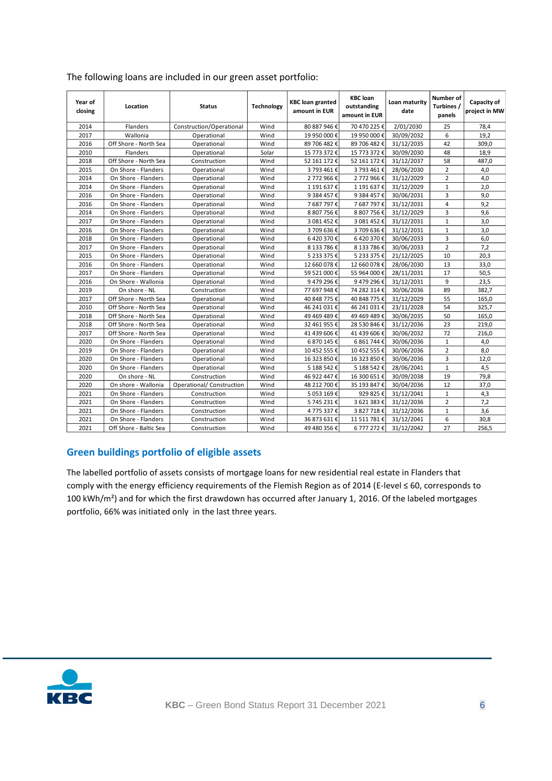| Year of<br>closing | Location               | <b>Status</b>             | <b>Technology</b> | <b>KBC</b> loan granted<br>amount in EUR | <b>KBC</b> loan<br>outstanding<br>amount in EUR | Loan maturity<br>date | Number of<br>Turbines /<br>panels | Capacity of<br>project in MW |
|--------------------|------------------------|---------------------------|-------------------|------------------------------------------|-------------------------------------------------|-----------------------|-----------------------------------|------------------------------|
| 2014               | Flanders               | Construction/Operational  | Wind              | 80 887 946 €                             | 70 470 225€                                     | 2/01/2030             | 25                                | 78,4                         |
| 2017               | Wallonia               | Operational               | Wind              | 19 950 000€                              | 19 950 000€                                     | 30/09/2032            | 6                                 | 19,2                         |
| 2016               | Off Shore - North Sea  | Operational               | Wind              | 89 706 482 €                             | 89 706 482 €                                    | 31/12/2035            | 42                                | 309,0                        |
| 2010               | Flanders               | Operational               | Solar             | 15 773 372 €                             | 15 773 372 €                                    | 30/09/2030            | 48                                | 18,9                         |
| 2018               | Off Shore - North Sea  | Construction              | Wind              | 52 161 172 €                             | 52 161 172 €                                    | 31/12/2037            | 58                                | 487,0                        |
| 2015               | On Shore - Flanders    | Operational               | Wind              | 3 793 461 €                              | 3 793 461 €                                     | 28/06/2030            | $\overline{2}$                    | 4,0                          |
| 2014               | On Shore - Flanders    | Operational               | Wind              | 2 772 966€                               | 2 772 966€                                      | 31/12/2029            | $\overline{2}$                    | 4,0                          |
| 2014               | On Shore - Flanders    | Operational               | Wind              | 1 191 637€                               | 1 191 637€                                      | 31/12/2029            | $\mathbf{1}$                      | 2,0                          |
| 2016               | On Shore - Flanders    | Operational               | Wind              | 9 384 457€                               | 9 384 457€                                      | 30/06/2031            | 3                                 | 9,0                          |
| 2016               | On Shore - Flanders    | Operational               | Wind              | 7687797€                                 | 7 687 797€                                      | 31/12/2031            | 4                                 | 9,2                          |
| 2014               | On Shore - Flanders    | Operational               | Wind              | 8 807 756€                               | 8 807 756 €                                     | 31/12/2029            | 3                                 | 9,6                          |
| 2017               | On Shore - Flanders    | Operational               | Wind              | 3 081 452€                               | 3 081 452 €                                     | 31/12/2031            | $\mathbf{1}$                      | 3,0                          |
| 2016               | On Shore - Flanders    | Operational               | Wind              | 3 709 636€                               | 3 709 636€                                      | 31/12/2031            | $\mathbf 1$                       | 3,0                          |
| 2018               | On Shore - Flanders    | Operational               | Wind              | 6420370€                                 | 6420370€                                        | 30/06/2033            | 3                                 | 6,0                          |
| 2017               | On Shore - Flanders    | Operational               | Wind              | 8 133 786 €                              | 8 133 786€                                      | 30/06/2033            | $\overline{2}$                    | 7,2                          |
| 2015               | On Shore - Flanders    | Operational               | Wind              | 5 233 375 €                              | 5 233 375 €                                     | 21/12/2025            | 10                                | 20,3                         |
| 2016               | On Shore - Flanders    | Operational               | Wind              | 12 660 078€                              | 12 660 078€                                     | 28/06/2030            | 13                                | 33,0                         |
| 2017               | On Shore - Flanders    | Operational               | Wind              | 59 521 000€                              | 55 964 000€                                     | 28/11/2031            | 17                                | 50,5                         |
| 2016               | On Shore - Wallonia    | Operational               | Wind              | 9479296€                                 | 9479296€                                        | 31/12/2031            | 9                                 | 23,5                         |
| 2019               | On shore - NL          | Construction              | Wind              | 77 697 948€                              | 74 282 314 €                                    | 30/06/2036            | 89                                | 382,7                        |
| 2017               | Off Shore - North Sea  | Operational               | Wind              | 40 848 775 €                             | 40 848 775 €                                    | 31/12/2029            | 55                                | 165,0                        |
| 2010               | Off Shore - North Sea  | Operational               | Wind              | 46 241 031 €                             | 46 241 031€                                     | 23/11/2028            | 54                                | 325,7                        |
| 2018               | Off Shore - North Sea  | Operational               | Wind              | 49 469 489€                              | 49 469 489€                                     | 30/06/2035            | 50                                | 165,0                        |
| 2018               | Off Shore - North Sea  | Operational               | Wind              | 32 461 955 €                             | 28 530 846 €                                    | 31/12/2036            | 23                                | 219,0                        |
| 2017               | Off Shore - North Sea  | Operational               | Wind              | 41 439 606€                              | 41 439 606€                                     | 30/06/2032            | 72                                | 216,0                        |
| 2020               | On Shore - Flanders    | Operational               | Wind              | 6 870 145 €                              | 6 861 744 €                                     | 30/06/2036            | $\mathbf 1$                       | 4,0                          |
| 2019               | On Shore - Flanders    | Operational               | Wind              | 10 452 555€                              | 10 452 555€                                     | 30/06/2036            | $\overline{2}$                    | 8,0                          |
| 2020               | On Shore - Flanders    | Operational               | Wind              | 16 323 850€                              | 16 323 850€                                     | 30/06/2036            | 3                                 | 12,0                         |
| 2020               | On Shore - Flanders    | Operational               | Wind              | 5 188 542€                               | 5 188 542€                                      | 28/06/2041            | $\mathbf 1$                       | 4,5                          |
| 2020               | On shore - NL          | Construction              | Wind              | 46 922 447 €                             | 16 300 651€                                     | 30/09/2038            | 19                                | 79,8                         |
| 2020               | On shore - Wallonia    | Operational/ Construction | Wind              | 48 212 700€                              | 35 193 847 €                                    | 30/04/2036            | 12                                | 37,0                         |
| 2021               | On Shore - Flanders    | Construction              | Wind              | 5 053 169€                               | 929 825€                                        | 31/12/2041            | $\mathbf{1}$                      | 4,3                          |
| 2021               | On Shore - Flanders    | Construction              | Wind              | 5 745 231€                               | 3 621 383€                                      | 31/12/2036            | $\overline{2}$                    | 7.2                          |
| 2021               | On Shore - Flanders    | Construction              | Wind              | 4 775 337€                               | 3 827 718 €                                     | 31/12/2036            | $\mathbf 1$                       | 3,6                          |
| 2021               | On Shore - Flanders    | Construction              | Wind              | 36 873 631 €                             | 11 511 781 €                                    | 31/12/2041            | 6                                 | 30,8                         |
| 2021               | Off Shore - Baltic Sea | Construction              | Wind              | 49 480 356 €                             | 6 777 272€                                      | 31/12/2042            | 27                                | 256,5                        |

#### The following loans are included in our green asset portfolio:

#### <span id="page-5-0"></span>**Green buildings portfolio of eligible assets**

The labelled portfolio of assets consists of mortgage loans for new residential real estate in Flanders that comply with the energy efficiency requirements of the Flemish Region as of 2014 (E-level ≤ 60, corresponds to 100 kWh/m²) and for which the first drawdown has occurred after January 1, 2016. Of the labeled mortgages portfolio, 66% was initiated only in the last three years.

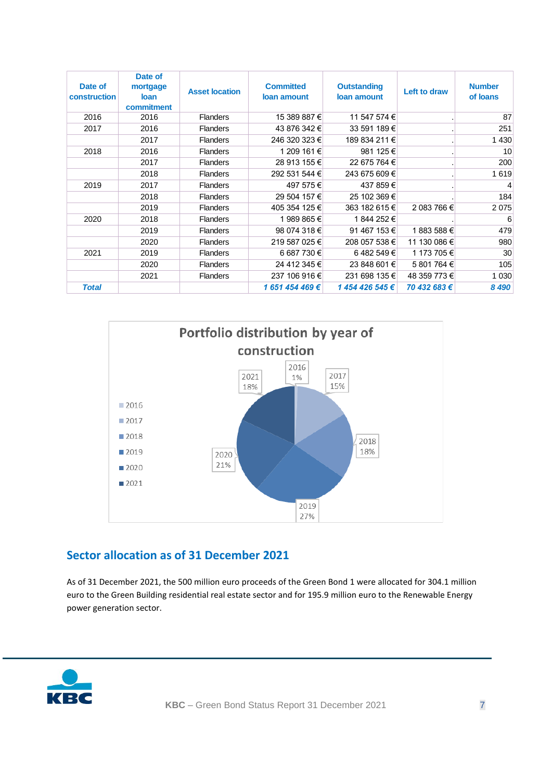| Date of<br>construction | Date of<br>mortgage<br><b>loan</b><br>commitment | <b>Asset location</b> | <b>Committed</b><br>loan amount | <b>Outstanding</b><br>loan amount | Left to draw | <b>Number</b><br>of loans |
|-------------------------|--------------------------------------------------|-----------------------|---------------------------------|-----------------------------------|--------------|---------------------------|
| 2016                    | 2016                                             | <b>Flanders</b>       | 15 389 887 €                    | 11 547 574 €                      |              | 87                        |
| 2017                    | 2016                                             | <b>Flanders</b>       | 43 876 342 €                    | 33 591 189 €                      |              | 251                       |
|                         | 2017                                             | <b>Flanders</b>       | 246 320 323 €                   | 189 834 211 €                     |              | 1 4 3 0                   |
| 2018                    | 2016                                             | <b>Flanders</b>       | 1 209 161 €                     | 981 125 €                         |              | 10                        |
|                         | 2017                                             | <b>Flanders</b>       | 28 913 155 €                    | 22 675 764 €                      |              | 200                       |
|                         | 2018                                             | <b>Flanders</b>       | 292 531 544 €                   | 243 675 609 €                     |              | 1619                      |
| 2019                    | 2017                                             | <b>Flanders</b>       | 497 575 €                       | 437 859€                          |              | $\overline{4}$            |
|                         | 2018                                             | <b>Flanders</b>       | 29 504 157 €                    | 25 102 369 €                      |              | 184                       |
|                         | 2019                                             | <b>Flanders</b>       | 405 354 125 €                   | 363 182 615 €                     | 2 083 766 €  | 2075                      |
| 2020                    | 2018                                             | <b>Flanders</b>       | 1 989 865 €                     | 1844 252 €                        |              | 6                         |
|                         | 2019                                             | <b>Flanders</b>       | 98 074 318 €                    | 91 467 153 €                      | 1883 588€    | 479                       |
|                         | 2020                                             | <b>Flanders</b>       | 219 587 025 €                   | 208 057 538 €                     | 11 130 086 € | 980                       |
| 2021                    | 2019                                             | <b>Flanders</b>       | 6 687 730 €                     | 6482549€                          | 1 173 705 €  | 30                        |
|                         | 2020                                             | <b>Flanders</b>       | 24 412 345 €                    | 23 848 601 €                      | 5 801 764 €  | 105                       |
|                         | 2021                                             | <b>Flanders</b>       | 237 106 916 €                   | 231 698 135 €                     | 48 359 773 € | 1 0 3 0                   |
| <b>Total</b>            |                                                  |                       | 1 651 454 469 €                 | 1454426545€                       | 70 432 683 € | 8 4 9 0                   |



## <span id="page-6-0"></span>**Sector allocation as of 31 December 2021**

As of 31 December 2021, the 500 million euro proceeds of the Green Bond 1 were allocated for 304.1 million euro to the Green Building residential real estate sector and for 195.9 million euro to the Renewable Energy power generation sector.

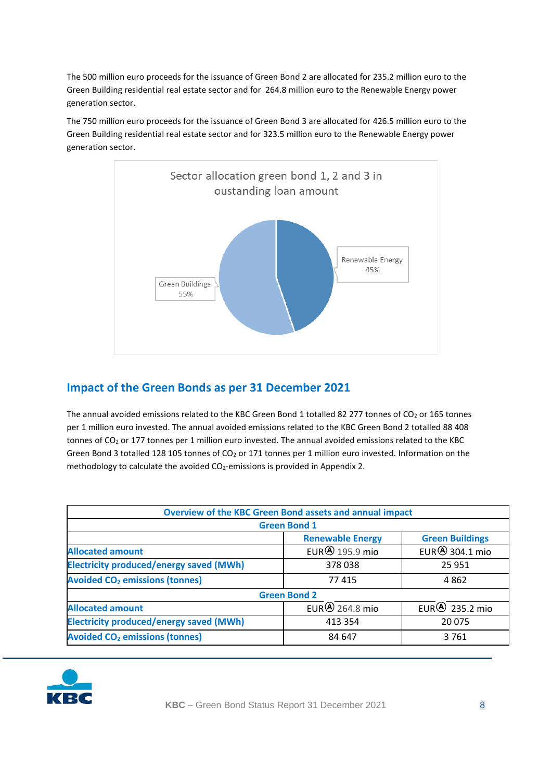The 500 million euro proceeds for the issuance of Green Bond 2 are allocated for 235.2 million euro to the Green Building residential real estate sector and for 264.8 million euro to the Renewable Energy power generation sector.

The 750 million euro proceeds for the issuance of Green Bond 3 are allocated for 426.5 million euro to the Green Building residential real estate sector and for 323.5 million euro to the Renewable Energy power generation sector.



# <span id="page-7-0"></span>**Impact of the Green Bonds as per 31 December 2021**

The annual avoided emissions related to the KBC Green Bond 1 totalled 82 277 tonnes of CO<sub>2</sub> or 165 tonnes per 1 million euro invested. The annual avoided emissions related to the KBC Green Bond 2 totalled 88 408 tonnes of CO<sub>2</sub> or 177 tonnes per 1 million euro invested. The annual avoided emissions related to the KBC Green Bond 3 totalled 128 105 tonnes of CO<sub>2</sub> or 171 tonnes per 1 million euro invested. Information on the methodology to calculate the avoided CO<sub>2</sub>-emissions is provided in Appendix 2.

|                                                           | <b>Overview of the KBC Green Bond assets and annual impact</b> |                          |  |  |  |
|-----------------------------------------------------------|----------------------------------------------------------------|--------------------------|--|--|--|
| <b>Green Bond 1</b>                                       |                                                                |                          |  |  |  |
|                                                           | <b>Renewable Energy</b>                                        | <b>Green Buildings</b>   |  |  |  |
| <b>Allocated amount</b>                                   | EUR $\bigcirc$ 195.9 mio                                       | EUR $\bigcirc$ 304.1 mio |  |  |  |
| <b>Electricity produced/energy saved (MWh)</b>            | 378 038                                                        | 25 951                   |  |  |  |
| <b>Avoided CO<sub>2</sub> emissions (tonnes)</b>          | 77415                                                          | 4862                     |  |  |  |
| <b>Green Bond 2</b>                                       |                                                                |                          |  |  |  |
| <b>Allocated amount</b>                                   | EUR $\bigcirc$ 264.8 mio                                       | EUR $\bigcirc$ 235.2 mio |  |  |  |
| <b>Electricity produced/energy saved (MWh)</b><br>413 354 |                                                                | 20 075                   |  |  |  |
| <b>Avoided CO<sub>2</sub> emissions (tonnes)</b>          | 84 647                                                         | 3761                     |  |  |  |

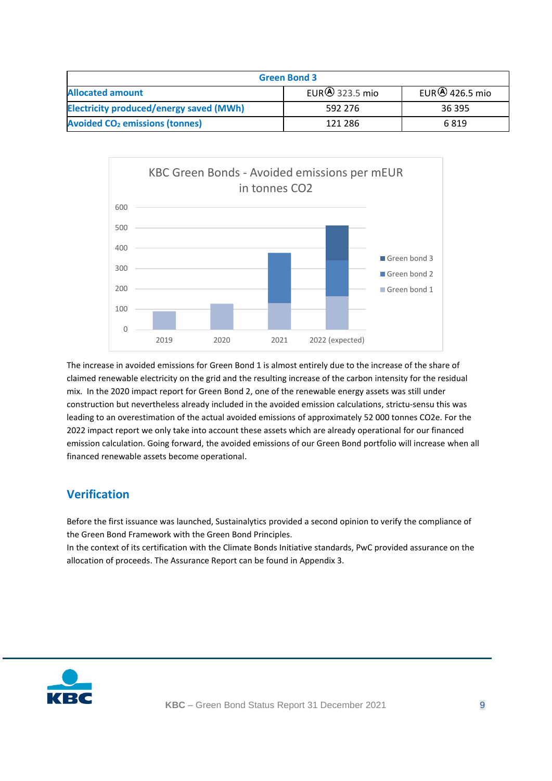| <b>Green Bond 3</b>                              |                          |                          |  |
|--------------------------------------------------|--------------------------|--------------------------|--|
| <b>Allocated amount</b>                          | EUR $\bigcirc$ 323.5 mio | EUR $\bigcirc$ 426.5 mio |  |
| <b>Electricity produced/energy saved (MWh)</b>   | 592 276                  | 36 395                   |  |
| <b>Avoided CO<sub>2</sub> emissions (tonnes)</b> | 121 286                  | 6819                     |  |



The increase in avoided emissions for Green Bond 1 is almost entirely due to the increase of the share of claimed renewable electricity on the grid and the resulting increase of the carbon intensity for the residual mix. In the 2020 impact report for Green Bond 2, one of the renewable energy assets was still under construction but nevertheless already included in the avoided emission calculations, strictu-sensu this was leading to an overestimation of the actual avoided emissions of approximately 52 000 tonnes CO2e. For the 2022 impact report we only take into account these assets which are already operational for our financed emission calculation. Going forward, the avoided emissions of our Green Bond portfolio will increase when all financed renewable assets become operational.

## <span id="page-8-0"></span>**Verification**

Before the first issuance was launched, Sustainalytics provided a second opinion to verify the compliance of the Green Bond Framework with the Green Bond Principles.

In the context of its certification with the Climate Bonds Initiative standards, PwC provided assurance on the allocation of proceeds. The Assurance Report can be found in Appendix 3.

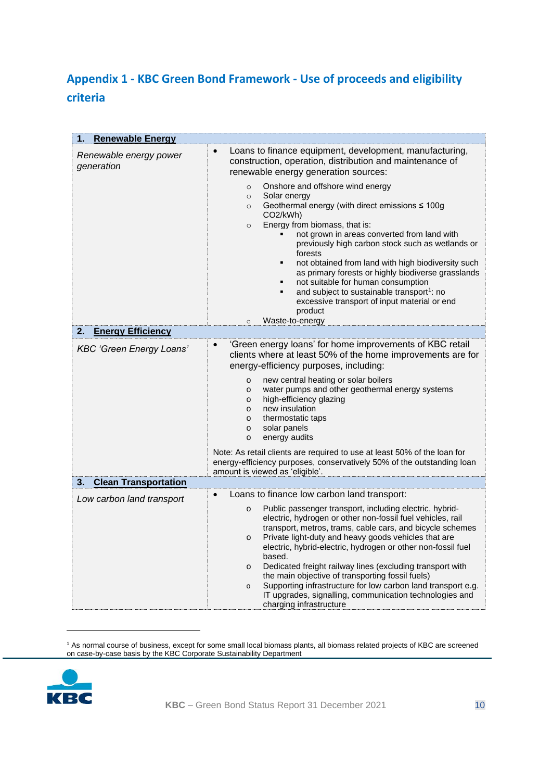# <span id="page-9-0"></span>**Appendix 1 - KBC Green Bond Framework - Use of proceeds and eligibility criteria**

| 1.<br><b>Renewable Energy</b>        |                                                                                                                                                                                               |  |  |  |
|--------------------------------------|-----------------------------------------------------------------------------------------------------------------------------------------------------------------------------------------------|--|--|--|
| Renewable energy power<br>generation | Loans to finance equipment, development, manufacturing,<br>$\bullet$<br>construction, operation, distribution and maintenance of<br>renewable energy generation sources:                      |  |  |  |
|                                      | Onshore and offshore wind energy<br>$\circ$<br>Solar energy<br>$\circ$<br>Geothermal energy (with direct emissions $\leq 100$ g<br>$\circ$                                                    |  |  |  |
|                                      | CO <sub>2</sub> /kWh)                                                                                                                                                                         |  |  |  |
|                                      | Energy from biomass, that is:<br>$\circ$<br>not grown in areas converted from land with<br>previously high carbon stock such as wetlands or<br>forests                                        |  |  |  |
|                                      | not obtained from land with high biodiversity such<br>$\blacksquare$<br>as primary forests or highly biodiverse grasslands<br>not suitable for human consumption<br>٠<br>$\blacksquare$       |  |  |  |
|                                      | and subject to sustainable transport <sup>1</sup> : no<br>excessive transport of input material or end<br>product                                                                             |  |  |  |
| <b>Energy Efficiency</b><br>2.       | Waste-to-energy<br>$\circ$                                                                                                                                                                    |  |  |  |
|                                      | 'Green energy loans' for home improvements of KBC retail<br>$\bullet$                                                                                                                         |  |  |  |
| <b>KBC 'Green Energy Loans'</b>      | clients where at least 50% of the home improvements are for<br>energy-efficiency purposes, including:                                                                                         |  |  |  |
|                                      | new central heating or solar boilers<br>o<br>water pumps and other geothermal energy systems<br>o<br>high-efficiency glazing<br>$\circ$                                                       |  |  |  |
|                                      | new insulation<br>$\circ$<br>thermostatic taps<br>o                                                                                                                                           |  |  |  |
|                                      | solar panels<br>o<br>energy audits<br>$\circ$                                                                                                                                                 |  |  |  |
|                                      | Note: As retail clients are required to use at least 50% of the loan for<br>energy-efficiency purposes, conservatively 50% of the outstanding loan<br>amount is viewed as 'eligible'.         |  |  |  |
| 3.<br><b>Clean Transportation</b>    |                                                                                                                                                                                               |  |  |  |
| Low carbon land transport            | Loans to finance low carbon land transport:<br>$\bullet$                                                                                                                                      |  |  |  |
|                                      | Public passenger transport, including electric, hybrid-<br>$\circ$<br>electric, hydrogen or other non-fossil fuel vehicles, rail<br>transport, metros, trams, cable cars, and bicycle schemes |  |  |  |
|                                      | Private light-duty and heavy goods vehicles that are<br>o<br>electric, hybrid-electric, hydrogen or other non-fossil fuel<br>based.                                                           |  |  |  |
|                                      | Dedicated freight railway lines (excluding transport with<br>o<br>the main objective of transporting fossil fuels)                                                                            |  |  |  |
|                                      | Supporting infrastructure for low carbon land transport e.g.<br>$\mathsf{o}$<br>IT upgrades, signalling, communication technologies and<br>charging infrastructure                            |  |  |  |

<sup>1</sup> As normal course of business, except for some small local biomass plants, all biomass related projects of KBC are screened on case-by-case basis by the KBC Corporate Sustainability Department

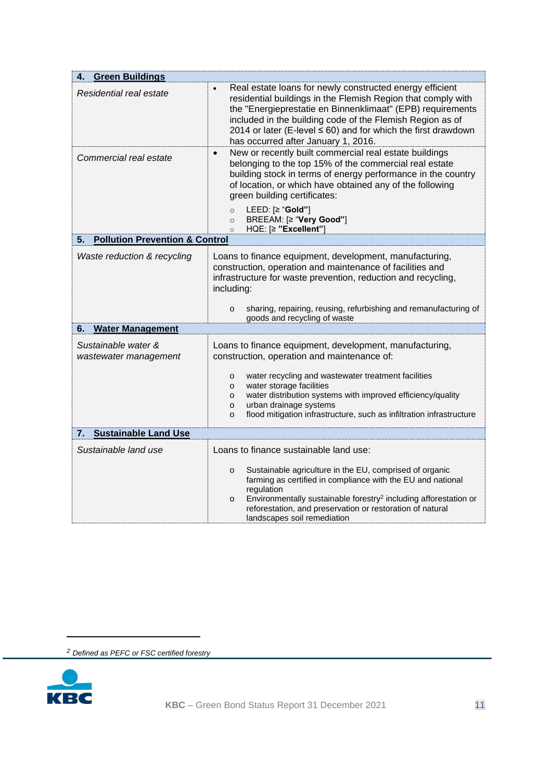| <b>Green Buildings</b><br>4.                    |                                                                                                                                                                                                                                                                                                                                                                   |  |  |  |
|-------------------------------------------------|-------------------------------------------------------------------------------------------------------------------------------------------------------------------------------------------------------------------------------------------------------------------------------------------------------------------------------------------------------------------|--|--|--|
| Residential real estate                         | Real estate loans for newly constructed energy efficient<br>residential buildings in the Flemish Region that comply with<br>the "Energieprestatie en Binnenklimaat" (EPB) requirements<br>included in the building code of the Flemish Region as of<br>2014 or later (E-level $\leq 60$ ) and for which the first drawdown<br>has occurred after January 1, 2016. |  |  |  |
| Commercial real estate                          | New or recently built commercial real estate buildings<br>$\bullet$<br>belonging to the top 15% of the commercial real estate<br>building stock in terms of energy performance in the country<br>of location, or which have obtained any of the following<br>green building certificates:                                                                         |  |  |  |
|                                                 | LEED: [≥ "Gold"]<br>$\circ$<br>BREEAM: [≥ "Very Good"]<br>$\circ$<br>HQE: [≥ "Excellent"]<br>$\circ$                                                                                                                                                                                                                                                              |  |  |  |
| <b>Pollution Prevention &amp; Control</b><br>5. |                                                                                                                                                                                                                                                                                                                                                                   |  |  |  |
| Waste reduction & recycling                     | Loans to finance equipment, development, manufacturing,<br>construction, operation and maintenance of facilities and<br>infrastructure for waste prevention, reduction and recycling,<br>including:                                                                                                                                                               |  |  |  |
|                                                 | sharing, repairing, reusing, refurbishing and remanufacturing of<br>o<br>goods and recycling of waste                                                                                                                                                                                                                                                             |  |  |  |
| <b>Water Management</b><br>6.                   |                                                                                                                                                                                                                                                                                                                                                                   |  |  |  |
| Sustainable water &<br>wastewater management    | Loans to finance equipment, development, manufacturing,<br>construction, operation and maintenance of:                                                                                                                                                                                                                                                            |  |  |  |
|                                                 | water recycling and wastewater treatment facilities<br>o<br>water storage facilities<br>о<br>water distribution systems with improved efficiency/quality<br>o<br>urban drainage systems<br>о<br>flood mitigation infrastructure, such as infiltration infrastructure<br>o                                                                                         |  |  |  |
| <b>Sustainable Land Use</b><br>7.               |                                                                                                                                                                                                                                                                                                                                                                   |  |  |  |
| Sustainable land use                            | Loans to finance sustainable land use:                                                                                                                                                                                                                                                                                                                            |  |  |  |
|                                                 | Sustainable agriculture in the EU, comprised of organic<br>0<br>farming as certified in compliance with the EU and national<br>regulation                                                                                                                                                                                                                         |  |  |  |
|                                                 | Environmentally sustainable forestry <sup>2</sup> including afforestation or<br>o<br>reforestation, and preservation or restoration of natural<br>landscapes soil remediation                                                                                                                                                                                     |  |  |  |

*<sup>2</sup> Defined as PEFC or FSC certified forestry*

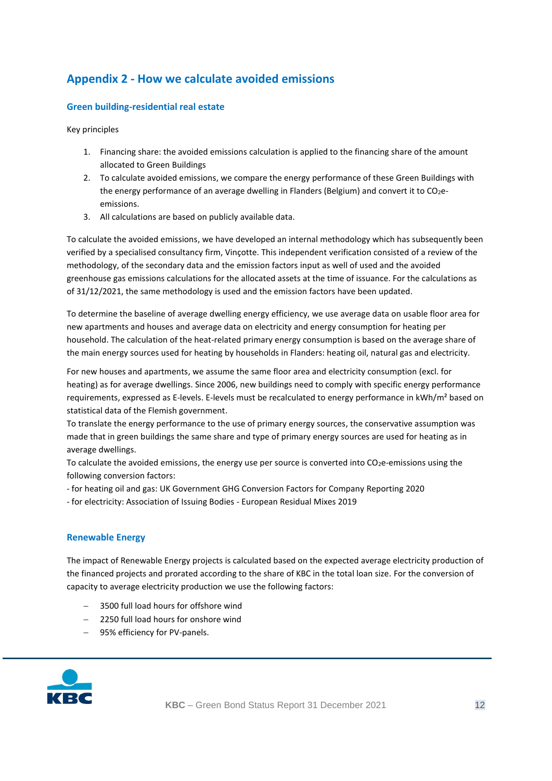# <span id="page-11-0"></span>**Appendix 2 - How we calculate avoided emissions**

#### **Green building-residential real estate**

Key principles

- 1. Financing share: the avoided emissions calculation is applied to the financing share of the amount allocated to Green Buildings
- 2. To calculate avoided emissions, we compare the energy performance of these Green Buildings with the energy performance of an average dwelling in Flanders (Belgium) and convert it to CO<sub>2</sub>eemissions.
- 3. All calculations are based on publicly available data.

To calculate the avoided emissions, we have developed an internal methodology which has subsequently been verified by a specialised consultancy firm, Vinçotte. This independent verification consisted of a review of the methodology, of the secondary data and the emission factors input as well of used and the avoided greenhouse gas emissions calculations for the allocated assets at the time of issuance. For the calculations as of 31/12/2021, the same methodology is used and the emission factors have been updated.

To determine the baseline of average dwelling energy efficiency, we use average data on usable floor area for new apartments and houses and average data on electricity and energy consumption for heating per household. The calculation of the heat-related primary energy consumption is based on the average share of the main energy sources used for heating by households in Flanders: heating oil, natural gas and electricity.

For new houses and apartments, we assume the same floor area and electricity consumption (excl. for heating) as for average dwellings. Since 2006, new buildings need to comply with specific energy performance requirements, expressed as E-levels. E-levels must be recalculated to energy performance in kWh/m<sup>2</sup> based on statistical data of the Flemish government.

To translate the energy performance to the use of primary energy sources, the conservative assumption was made that in green buildings the same share and type of primary energy sources are used for heating as in average dwellings.

To calculate the avoided emissions, the energy use per source is converted into CO<sub>2</sub>e-emissions using the following conversion factors:

- for heating oil and gas: UK Government GHG Conversion Factors for Company Reporting 2020

- for electricity: Association of Issuing Bodies - European Residual Mixes 2019

#### **Renewable Energy**

The impact of Renewable Energy projects is calculated based on the expected average electricity production of the financed projects and prorated according to the share of KBC in the total loan size. For the conversion of capacity to average electricity production we use the following factors:

- − 3500 full load hours for offshore wind
- − 2250 full load hours for onshore wind
- − 95% efficiency for PV-panels.

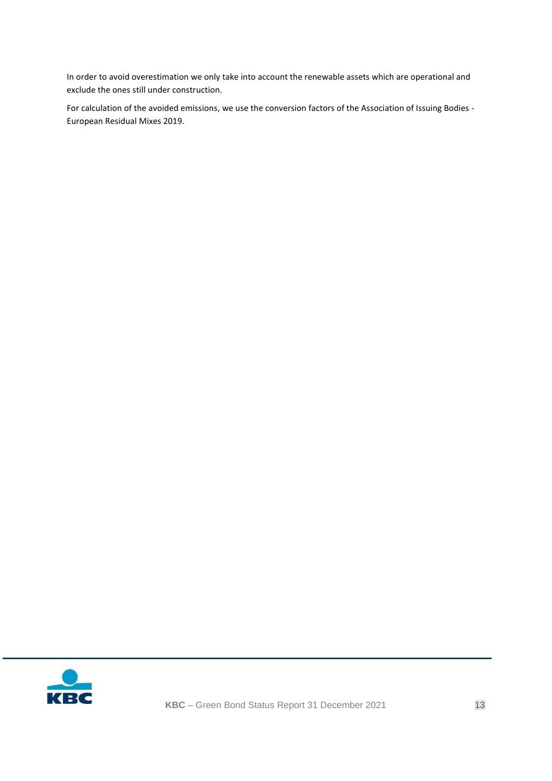In order to avoid overestimation we only take into account the renewable assets which are operational and exclude the ones still under construction.

For calculation of the avoided emissions, we use the conversion factors of the Association of Issuing Bodies - European Residual Mixes 2019.

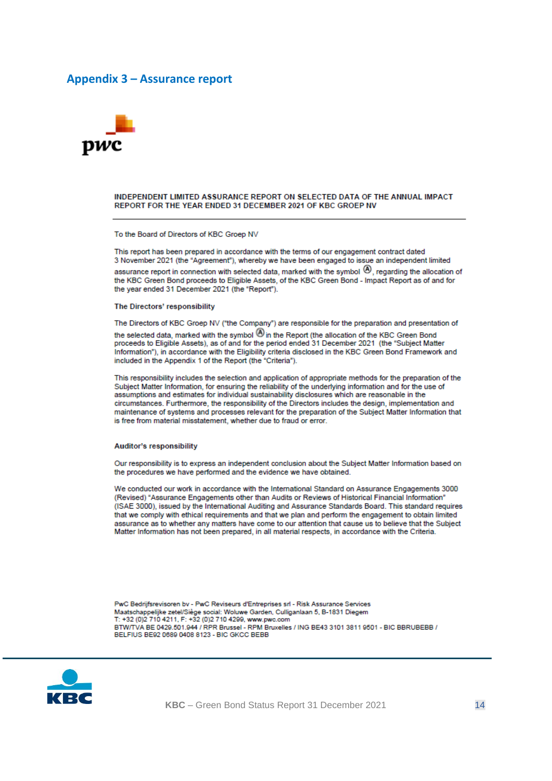#### <span id="page-13-0"></span>**Appendix 3 – Assurance report**



#### INDEPENDENT LIMITED ASSURANCE REPORT ON SELECTED DATA OF THE ANNUAL IMPACT REPORT FOR THE YEAR ENDED 31 DECEMBER 2021 OF KBC GROEP NV

To the Board of Directors of KBC Groep NV

This report has been prepared in accordance with the terms of our engagement contract dated 3 November 2021 (the "Agreement"), whereby we have been engaged to issue an independent limited assurance report in connection with selected data, marked with the symbol  $\Phi$ , regarding the allocation of the KBC Green Bond proceeds to Eligible Assets, of the KBC Green Bond - Impact Report as of and for the year ended 31 December 2021 (the "Report").

The Directors' responsibility

The Directors of KBC Groep NV ("the Company") are responsible for the preparation and presentation of

the selected data, marked with the symbol  $\bigcirc$  in the Report (the allocation of the KBC Green Bond proceeds to Eligible Assets), as of and for the period ended 31 December 2021 (the "Subject Matter Information"), in accordance with the Eligibility criteria disclosed in the KBC Green Bond Framework and included in the Appendix 1 of the Report (the "Criteria").

This responsibility includes the selection and application of appropriate methods for the preparation of the Subject Matter Information, for ensuring the reliability of the underlying information and for the use of assumptions and estimates for individual sustainability disclosures which are reasonable in the circumstances. Furthermore, the responsibility of the Directors includes the design, implementation and maintenance of systems and processes relevant for the preparation of the Subject Matter Information that is free from material misstatement, whether due to fraud or error.

#### Auditor's responsibility

Our responsibility is to express an independent conclusion about the Subject Matter Information based on the procedures we have performed and the evidence we have obtained.

We conducted our work in accordance with the International Standard on Assurance Engagements 3000 (Revised) "Assurance Engagements other than Audits or Reviews of Historical Financial Information" (ISAE 3000), issued by the International Auditing and Assurance Standards Board. This standard requires that we comply with ethical requirements and that we plan and perform the engagement to obtain limited assurance as to whether any matters have come to our attention that cause us to believe that the Subject Matter Information has not been prepared, in all material respects, in accordance with the Criteria.

PwC Bedrijfsrevisoren bv - PwC Reviseurs d'Entreprises srl - Risk Assurance Services Maatschappelijke zetel/Siège social: Woluwe Garden, Culliganlaan 5, B-1831 Diegem T: +32 (0)2 710 4211, F: +32 (0)2 710 4299, www.pwc.com BTW/TVA BE 0429.501.944 / RPR Brussel - RPM Bruxelles / ING BE43 3101 3811 9501 - BIC BBRUBEBB / BELFIUS BE92 0689 0408 8123 - BIC GKCC BEBB



KBC - Green Bond Status Report 31 December 2021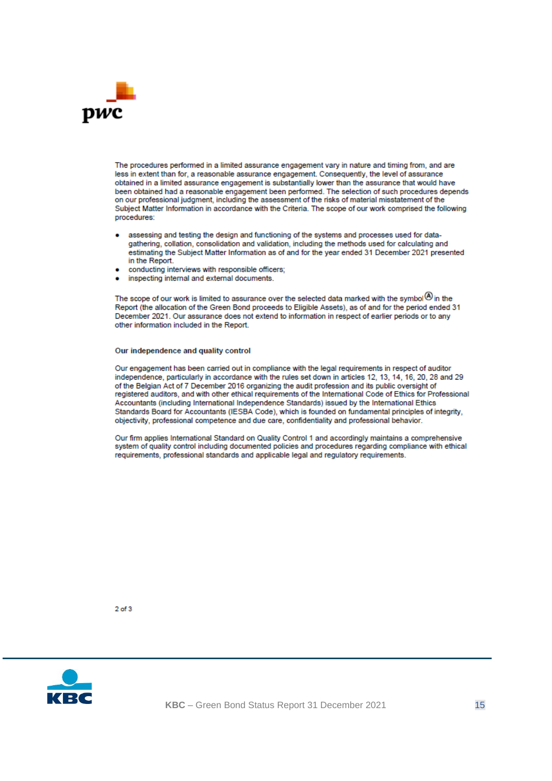

The procedures performed in a limited assurance engagement vary in nature and timing from, and are less in extent than for, a reasonable assurance engagement. Consequently, the level of assurance obtained in a limited assurance engagement is substantially lower than the assurance that would have been obtained had a reasonable engagement been performed. The selection of such procedures depends on our professional judgment, including the assessment of the risks of material misstatement of the Subject Matter Information in accordance with the Criteria. The scope of our work comprised the following procedures:

- assessing and testing the design and functioning of the systems and processes used for datagathering, collation, consolidation and validation, including the methods used for calculating and estimating the Subject Matter Information as of and for the year ended 31 December 2021 presented in the Report.
- conducting interviews with responsible officers;
- inspecting internal and external documents.

The scope of our work is limited to assurance over the selected data marked with the symbol $\circledR$  in the Report (the allocation of the Green Bond proceeds to Eligible Assets), as of and for the period ended 31 December 2021. Our assurance does not extend to information in respect of earlier periods or to any other information included in the Report.

#### Our independence and quality control

Our engagement has been carried out in compliance with the legal requirements in respect of auditor independence, particularly in accordance with the rules set down in articles 12, 13, 14, 16, 20, 28 and 29 of the Belgian Act of 7 December 2016 organizing the audit profession and its public oversight of registered auditors, and with other ethical requirements of the International Code of Ethics for Professional Accountants (including International Independence Standards) issued by the International Ethics Standards Board for Accountants (IESBA Code), which is founded on fundamental principles of integrity, objectivity, professional competence and due care, confidentiality and professional behavior.

Our firm applies International Standard on Quality Control 1 and accordingly maintains a comprehensive system of quality control including documented policies and procedures regarding compliance with ethical requirements, professional standards and applicable legal and regulatory requirements.